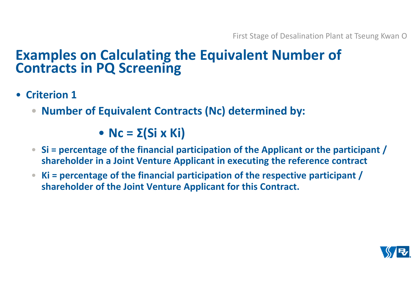- **Criterion 1**
	- $\bullet$ **Number of Equivalent Contracts (Nc) determined by:**

• **Nc = Σ(Si x Ki)**

- **Si = percentage of the financial participation of the Applicant or the participant / shareholder in a Joint Venture Applicant in executing the reference contract**
- $\bullet$  **Ki = percentage of the financial participation of the respective participant / shareholder of the Joint Venture Applicant for this Contract.**

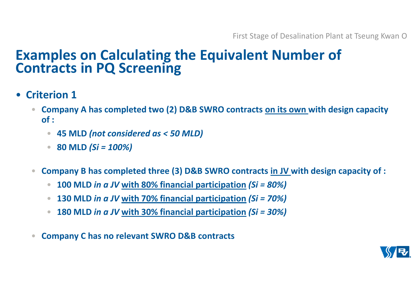- **Criterion 1**
	- $\bullet$  **Company A has completed two (2) D&B SWRO contracts on its own with design capacity of :**
		- $\bullet$ **45 MLD** *(not considered as < 50 MLD)*
		- •**80 MLD** *(Si = 100%)*
	- $\bullet$  **Company B has completed three (3) D&B SWRO contracts in JV with design capacity of :** 
		- •**100 MLD** *in a JV* **with 80% financial participation** *(Si = 80%)*
		- •**130 MLD** *in a JV* **with 70% financial participation** *(Si = 70%)*
		- •**180 MLD** *in a JV* **with 30% financial participation** *(Si = 30%)*
	- $\bullet$ **Company C has no relevant SWRO D&B contracts**

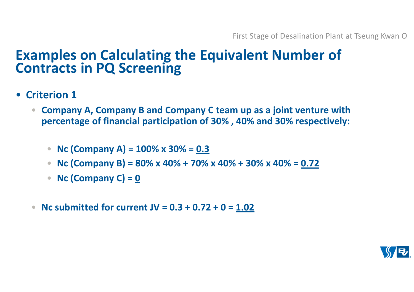- **Criterion 1**
	- $\bullet$  **Company A, Company B and Company C team up as a joint venture with percentage of financial participation of 30% , 40% and 30% respectively:**
		- **Nc (Company A) = 100% x 30% = 0.3**
		- $\bullet$ **Nc (Company B) = 80% x 40% + 70% x 40% + 30% x 40% = 0.72**
		- $\bullet$ **Nc (Company C) = 0**
	- •**Nc submitted for current JV = 0.3 + 0.72 + 0 = 1.02**

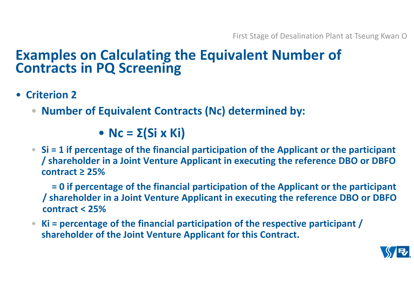- **Criterion 2**
	- $\bullet$ **Number of Equivalent Contracts (Nc) determined by:**

• **Nc = Σ(Si x Ki)**

• **Si = 1 if percentage of the financial participation of the Applicant or the participant / shareholder in a Joint Venture Applicant in executing the reference DBO or DBFO contract ≥ 25%**

 **= 0 if percentage of the financial participation of the Applicant or the participant / shareholder in a Joint Venture Applicant in executing the reference DBO or DBFO contract < 25%**

 • **Ki = percentage of the financial participation of the respective participant / shareholder of the Joint Venture Applicant for this Contract.** 

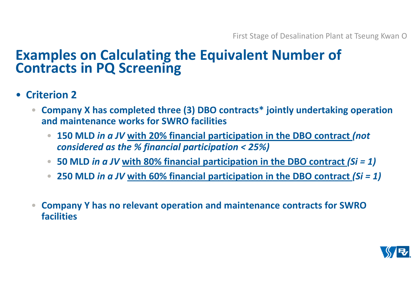- **Criterion 2**
	- $\bullet$  **Company X has completed three (3) DBO contracts\* jointly undertaking operation and maintenance works for SWRO facilities**
		- • **150 MLD** *in a JV* **with 20% financial participation in the DBO contract** *(not considered as the % financial participation < 25%)*
		- **50 MLD** *in a JV* **with 80% financial participation in the DBO contract** *(Si = 1)*
		- **250 MLD** *in a JV* **with 60% financial participation in the DBO contract** *(Si = 1)*
	- • **Company Y has no relevant operation and maintenance contracts for SWRO facilities**

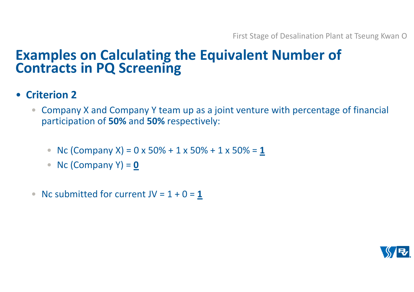- **Criterion 2**
	- $\bullet$  Company X and Company Y team up as a joint venture with percentage of financial participation of **50%** and **50%** respectively:
		- Nc (Company X) = 0 x 50% + 1 x 50% + 1 x 50% = <u>1</u>
		- Nc (Company Y) = <u>0</u>
	- Nc submitted for current  $JV = 1 + 0 = 1$

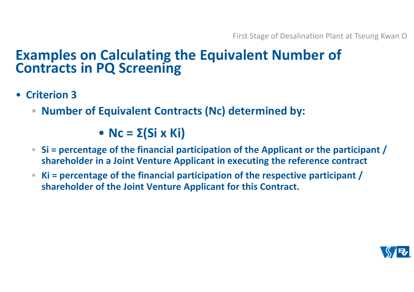- **Criterion 3**
	- $\bullet$ **Number of Equivalent Contracts (Nc) determined by:**

• **Nc = Σ(Si x Ki)**

- **Si = percentage of the financial participation of the Applicant or the participant / shareholder in a Joint Venture Applicant in executing the reference contract**
- $\bullet$  **Ki = percentage of the financial participation of the respective participant / shareholder of the Joint Venture Applicant for this Contract.**

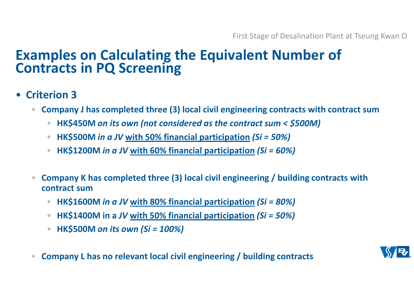- **Criterion 3**
	- $\bullet$  **Company J has completed three (3) local civil engineering contracts with contract sum** 
		- •**HK\$450M** *on its own (not considered as the contract sum < \$500M)*
		- $\bullet$ **HK\$500M** *in a JV* **with 50% financial participation** *(Si = 50%)*
		- •**HK\$1200M** *in a JV* **with 60% financial participation** *(Si = 60%)*
	- $\bullet$  **Company K has completed three (3) local civil engineering / building contracts with contract sum** 
		- •**HK\$1600M** *in a JV* **with 80% financial participation** *(Si = 80%)*
		- •**HK\$1400M in a** *JV* **with 50% financial participation** *(Si = 50%)*
		- $\bullet$ **HK\$500M** *on its own (Si = 100%)*
	- $\bullet$ **Company L has no relevant local civil engineering / building contracts**